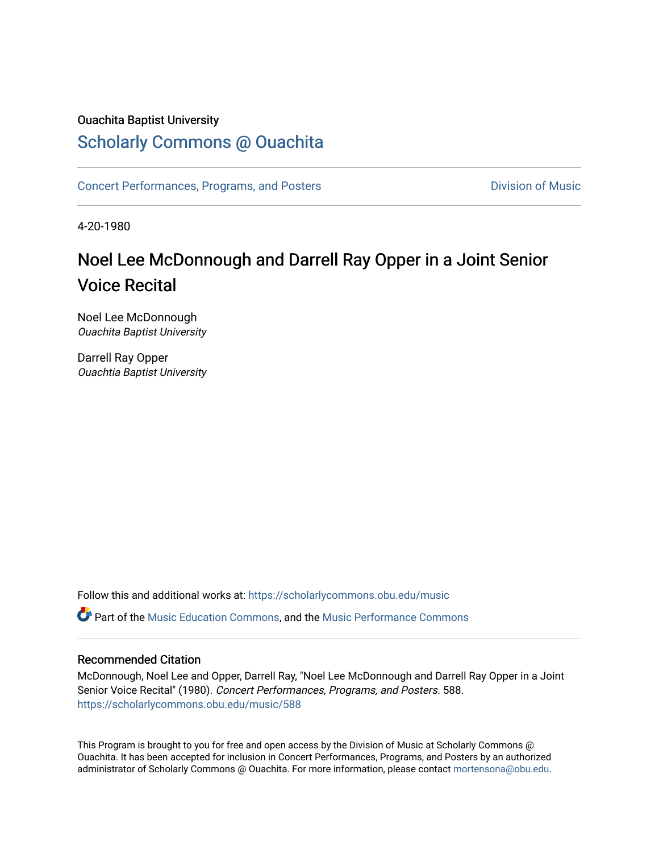#### Ouachita Baptist University

### [Scholarly Commons @ Ouachita](https://scholarlycommons.obu.edu/)

[Concert Performances, Programs, and Posters](https://scholarlycommons.obu.edu/music) **Division of Music** Division of Music

4-20-1980

## Noel Lee McDonnough and Darrell Ray Opper in a Joint Senior Voice Recital

Noel Lee McDonnough Ouachita Baptist University

Darrell Ray Opper Ouachtia Baptist University

Follow this and additional works at: [https://scholarlycommons.obu.edu/music](https://scholarlycommons.obu.edu/music?utm_source=scholarlycommons.obu.edu%2Fmusic%2F588&utm_medium=PDF&utm_campaign=PDFCoverPages) 

Part of the [Music Education Commons,](http://network.bepress.com/hgg/discipline/1246?utm_source=scholarlycommons.obu.edu%2Fmusic%2F588&utm_medium=PDF&utm_campaign=PDFCoverPages) and the [Music Performance Commons](http://network.bepress.com/hgg/discipline/1128?utm_source=scholarlycommons.obu.edu%2Fmusic%2F588&utm_medium=PDF&utm_campaign=PDFCoverPages) 

#### Recommended Citation

McDonnough, Noel Lee and Opper, Darrell Ray, "Noel Lee McDonnough and Darrell Ray Opper in a Joint Senior Voice Recital" (1980). Concert Performances, Programs, and Posters. 588. [https://scholarlycommons.obu.edu/music/588](https://scholarlycommons.obu.edu/music/588?utm_source=scholarlycommons.obu.edu%2Fmusic%2F588&utm_medium=PDF&utm_campaign=PDFCoverPages) 

This Program is brought to you for free and open access by the Division of Music at Scholarly Commons @ Ouachita. It has been accepted for inclusion in Concert Performances, Programs, and Posters by an authorized administrator of Scholarly Commons @ Ouachita. For more information, please contact [mortensona@obu.edu](mailto:mortensona@obu.edu).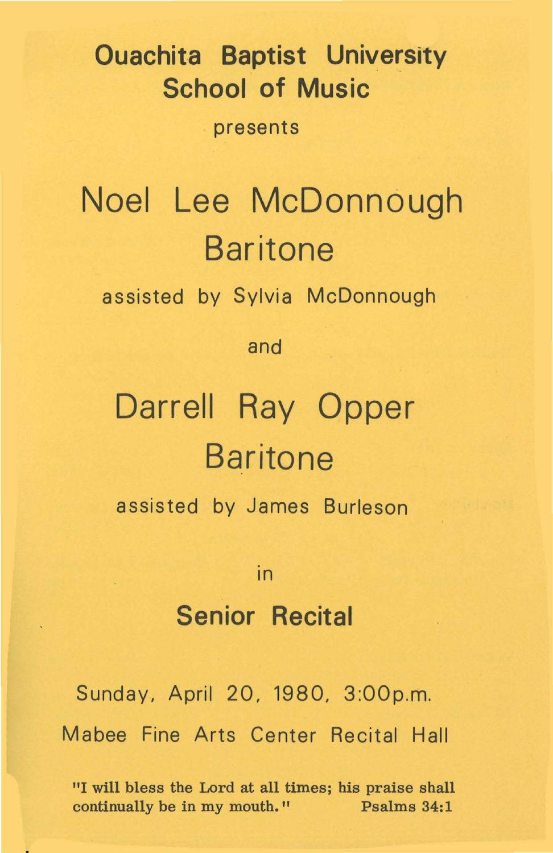## **Ouachita Baptist University School of Music**

presents

## **Noel Lee McDonnough Baritone**

assisted by Sylvia McDonnough

and

# **Darrell Ray Opper Baritone**

assisted by James Burleson

in

### **Senior Recital**

Sunday, April 20, 1980, 3:00p.m. Mabee Fine Arts Center Recital Hall

"I will bless the Lord at all times; his praise shall continually be in my mouth." Psalms 34:1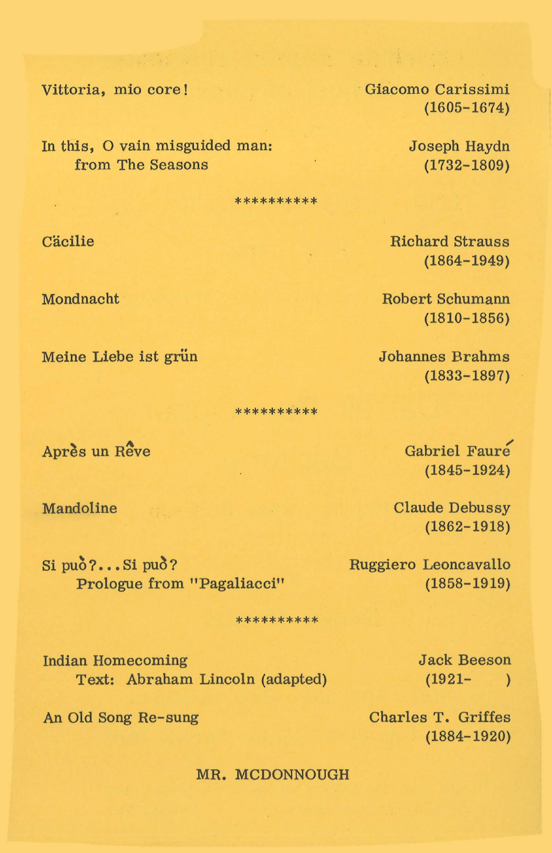Vittoria, mio core!

In this, O vain misguided man: from The Seasons

\*\*\*\*\*\*\*\*\*\*

Cäcilie

Mondnacht

Meine Liebe ist grün

\*\*\*\*\*\*\*\*\*\*

Après un Rêve

Mandoline

Si può?... Si può? Prologue from "Pagaliacci"

\*\*\*\*\*\*\*\*\*\*

**Indian Homecoming** Text: Abraham Lincoln (adapted)

An Old Song Re-sung

Giacomo Carissimi  $(1605 - 1674)$ 

> Joseph Haydn  $(1732 - 1809)$

**Richard Strauss**  $(1864 - 1949)$ 

**Robert Schumann**  $(1810 - 1856)$ 

**Johannes Brahms**  $(1833 - 1897)$ 

> Gabriel Faure  $(1845 - 1924)$

**Claude Debussy**  $(1862 - 1918)$ 

Ruggiero Leoncavallo  $(1858 - 1919)$ 

> **Jack Beeson**  $(1921 - )$

Charles T. Griffes  $(1884 - 1920)$ 

MR. MCDONNOUGH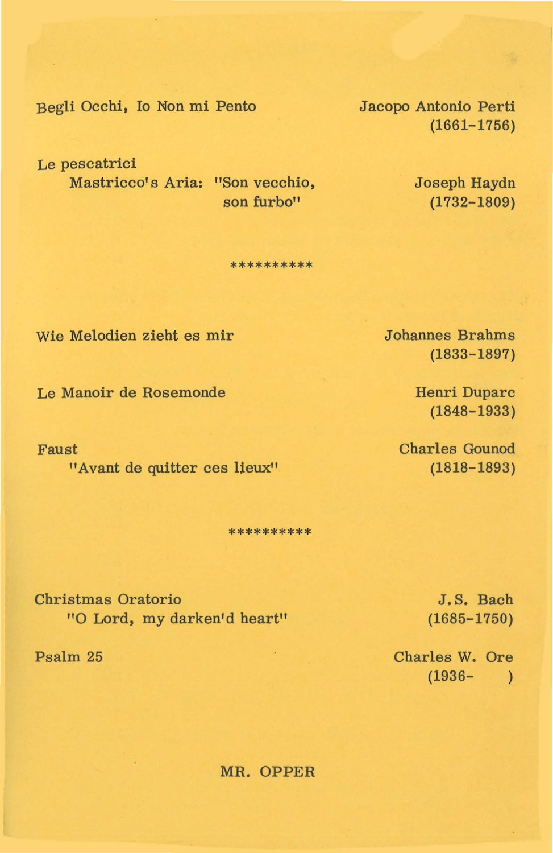Begli Occhi, Io Non mi Pento

Le pescatrici Mastricco's Aria: "Son vecchio, son furbo"

\*\*\*\*\*\*\*\*\*

Wie Melodien zieht es mir

Le Manoir de Rosemonde

Faust "Avant de quitter ces lieux"

\*\*\*\*\*\*\*\*\*

Christmas Oratorio "O Lord, my darken'd heart"

Psalm 25

Jacopo Antonio Perti (1661-1756)

> Joseph Haydn (1732-1809)

Johannes Brahms (1833-1897)

> Henri Duparc (1848-1933)

Charles Gounod (1818-1893)

> J. S. Bach (1685-1750)

Charles W. Ore  $(1936 - )$ 

MR. OPPER